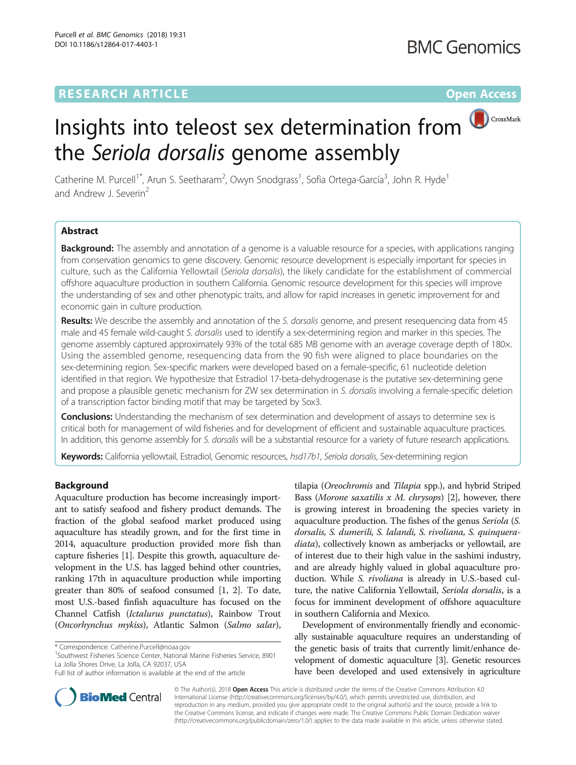# **RESEARCH ARTICLE Example 2014 12:30 The Contract of Contract ACCESS**

**BMC Genomics** 

# Insights into teleost sex determination from the Seriola dorsalis genome assembly

Catherine M. Purcell<sup>1\*</sup>, Arun S. Seetharam<sup>2</sup>, Owyn Snodgrass<sup>1</sup>, Sofia Ortega-García<sup>3</sup>, John R. Hyde<sup>1</sup> and Andrew J. Severin<sup>2</sup>

# Abstract

Background: The assembly and annotation of a genome is a valuable resource for a species, with applications ranging from conservation genomics to gene discovery. Genomic resource development is especially important for species in culture, such as the California Yellowtail (Seriola dorsalis), the likely candidate for the establishment of commercial offshore aquaculture production in southern California. Genomic resource development for this species will improve the understanding of sex and other phenotypic traits, and allow for rapid increases in genetic improvement for and economic gain in culture production.

Results: We describe the assembly and annotation of the S. dorsalis genome, and present resequencing data from 45 male and 45 female wild-caught S. dorsalis used to identify a sex-determining region and marker in this species. The genome assembly captured approximately 93% of the total 685 MB genome with an average coverage depth of 180×. Using the assembled genome, resequencing data from the 90 fish were aligned to place boundaries on the sex-determining region. Sex-specific markers were developed based on a female-specific, 61 nucleotide deletion identified in that region. We hypothesize that Estradiol 17-beta-dehydrogenase is the putative sex-determining gene and propose a plausible genetic mechanism for ZW sex determination in S. dorsalis involving a female-specific deletion of a transcription factor binding motif that may be targeted by Sox3.

Conclusions: Understanding the mechanism of sex determination and development of assays to determine sex is critical both for management of wild fisheries and for development of efficient and sustainable aquaculture practices. In addition, this genome assembly for S. dorsalis will be a substantial resource for a variety of future research applications.

Keywords: California yellowtail, Estradiol, Genomic resources, hsd17b1, Seriola dorsalis, Sex-determining region

# Background

Aquaculture production has become increasingly important to satisfy seafood and fishery product demands. The fraction of the global seafood market produced using aquaculture has steadily grown, and for the first time in 2014, aquaculture production provided more fish than capture fisheries [[1\]](#page-9-0). Despite this growth, aquaculture development in the U.S. has lagged behind other countries, ranking 17th in aquaculture production while importing greater than 80% of seafood consumed [\[1](#page-9-0), [2\]](#page-9-0). To date, most U.S.-based finfish aquaculture has focused on the Channel Catfish (Ictalurus punctatus), Rainbow Trout (Oncorhynchus mykiss), Atlantic Salmon (Salmo salar),

<sup>1</sup>Southwest Fisheries Science Center, National Marine Fisheries Service, 8901 La Jolla Shores Drive, La Jolla, CA 92037, USA

tilapia (Oreochromis and Tilapia spp.), and hybrid Striped Bass (Morone saxatilis  $x$  M. chrysops) [[2\]](#page-9-0), however, there is growing interest in broadening the species variety in aquaculture production. The fishes of the genus Seriola (S. dorsalis, S. dumerili, S. lalandi, S. rivoliana, S. quinqueradiata), collectively known as amberjacks or yellowtail, are of interest due to their high value in the sashimi industry, and are already highly valued in global aquaculture production. While S. rivoliana is already in U.S.-based culture, the native California Yellowtail, Seriola dorsalis, is a focus for imminent development of offshore aquaculture in southern California and Mexico.

Development of environmentally friendly and economically sustainable aquaculture requires an understanding of the genetic basis of traits that currently limit/enhance development of domestic aquaculture [[3](#page-9-0)]. Genetic resources have been developed and used extensively in agriculture



© The Author(s). 2018 Open Access This article is distributed under the terms of the Creative Commons Attribution 4.0 International License [\(http://creativecommons.org/licenses/by/4.0/](http://creativecommons.org/licenses/by/4.0/)), which permits unrestricted use, distribution, and reproduction in any medium, provided you give appropriate credit to the original author(s) and the source, provide a link to the Creative Commons license, and indicate if changes were made. The Creative Commons Public Domain Dedication waiver [\(http://creativecommons.org/publicdomain/zero/1.0/](http://creativecommons.org/publicdomain/zero/1.0/)) applies to the data made available in this article, unless otherwise stated.

<sup>\*</sup> Correspondence: [Catherine.Purcell@noaa.gov](mailto:Catherine.Purcell@noaa.gov) <sup>1</sup>

Full list of author information is available at the end of the article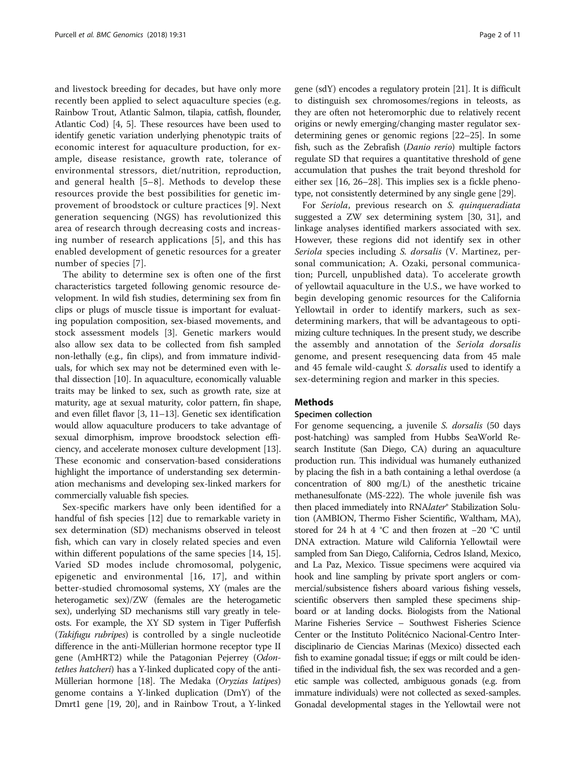and livestock breeding for decades, but have only more recently been applied to select aquaculture species (e.g. Rainbow Trout, Atlantic Salmon, tilapia, catfish, flounder, Atlantic Cod) [[4](#page-9-0), [5](#page-9-0)]. These resources have been used to identify genetic variation underlying phenotypic traits of economic interest for aquaculture production, for example, disease resistance, growth rate, tolerance of environmental stressors, diet/nutrition, reproduction, and general health [[5](#page-9-0)–[8](#page-9-0)]. Methods to develop these resources provide the best possibilities for genetic improvement of broodstock or culture practices [\[9\]](#page-9-0). Next generation sequencing (NGS) has revolutionized this area of research through decreasing costs and increasing number of research applications [[5](#page-9-0)], and this has enabled development of genetic resources for a greater number of species [\[7\]](#page-9-0).

The ability to determine sex is often one of the first characteristics targeted following genomic resource development. In wild fish studies, determining sex from fin clips or plugs of muscle tissue is important for evaluating population composition, sex-biased movements, and stock assessment models [\[3](#page-9-0)]. Genetic markers would also allow sex data to be collected from fish sampled non-lethally (e.g., fin clips), and from immature individuals, for which sex may not be determined even with lethal dissection [[10](#page-9-0)]. In aquaculture, economically valuable traits may be linked to sex, such as growth rate, size at maturity, age at sexual maturity, color pattern, fin shape, and even fillet flavor [\[3, 11](#page-9-0)–[13](#page-9-0)]. Genetic sex identification would allow aquaculture producers to take advantage of sexual dimorphism, improve broodstock selection efficiency, and accelerate monosex culture development [[13](#page-9-0)]. These economic and conservation-based considerations highlight the importance of understanding sex determination mechanisms and developing sex-linked markers for commercially valuable fish species.

Sex-specific markers have only been identified for a handful of fish species [\[12\]](#page-9-0) due to remarkable variety in sex determination (SD) mechanisms observed in teleost fish, which can vary in closely related species and even within different populations of the same species [\[14](#page-9-0), [15](#page-9-0)]. Varied SD modes include chromosomal, polygenic, epigenetic and environmental [[16, 17](#page-9-0)], and within better-studied chromosomal systems, XY (males are the heterogametic sex)/ZW (females are the heterogametic sex), underlying SD mechanisms still vary greatly in teleosts. For example, the XY SD system in Tiger Pufferfish (Takifugu rubripes) is controlled by a single nucleotide difference in the anti-Müllerian hormone receptor type II gene (AmHRT2) while the Patagonian Pejerrey (Odontethes hatcheri) has a Y-linked duplicated copy of the anti-Müllerian hormone [\[18](#page-9-0)]. The Medaka (Oryzias latipes) genome contains a Y-linked duplication (DmY) of the Dmrt1 gene [[19](#page-9-0), [20](#page-9-0)], and in Rainbow Trout, a Y-linked gene (sdY) encodes a regulatory protein [[21](#page-9-0)]. It is difficult to distinguish sex chromosomes/regions in teleosts, as they are often not heteromorphic due to relatively recent origins or newly emerging/changing master regulator sexdetermining genes or genomic regions [[22](#page-9-0)–[25\]](#page-9-0). In some fish, such as the Zebrafish (Danio rerio) multiple factors regulate SD that requires a quantitative threshold of gene accumulation that pushes the trait beyond threshold for either sex [\[16, 26](#page-9-0)–[28](#page-9-0)]. This implies sex is a fickle phenotype, not consistently determined by any single gene [[29](#page-9-0)].

For Seriola, previous research on S. quinqueradiata suggested a ZW sex determining system [[30, 31](#page-9-0)], and linkage analyses identified markers associated with sex. However, these regions did not identify sex in other Seriola species including S. dorsalis (V. Martinez, personal communication; A. Ozaki, personal communication; Purcell, unpublished data). To accelerate growth of yellowtail aquaculture in the U.S., we have worked to begin developing genomic resources for the California Yellowtail in order to identify markers, such as sexdetermining markers, that will be advantageous to optimizing culture techniques. In the present study, we describe the assembly and annotation of the Seriola dorsalis genome, and present resequencing data from 45 male and 45 female wild-caught S. dorsalis used to identify a sex-determining region and marker in this species.

#### Methods

#### Specimen collection

For genome sequencing, a juvenile S. dorsalis (50 days post-hatching) was sampled from Hubbs SeaWorld Research Institute (San Diego, CA) during an aquaculture production run. This individual was humanely euthanized by placing the fish in a bath containing a lethal overdose (a concentration of 800 mg/L) of the anesthetic tricaine methanesulfonate (MS-222). The whole juvenile fish was then placed immediately into RNAlater® Stabilization Solution (AMBION, Thermo Fisher Scientific, Waltham, MA), stored for 24 h at 4 °C and then frozen at −20 °C until DNA extraction. Mature wild California Yellowtail were sampled from San Diego, California, Cedros Island, Mexico, and La Paz, Mexico. Tissue specimens were acquired via hook and line sampling by private sport anglers or commercial/subsistence fishers aboard various fishing vessels, scientific observers then sampled these specimens shipboard or at landing docks. Biologists from the National Marine Fisheries Service – Southwest Fisheries Science Center or the Instituto Politécnico Nacional-Centro Interdisciplinario de Ciencias Marinas (Mexico) dissected each fish to examine gonadal tissue; if eggs or milt could be identified in the individual fish, the sex was recorded and a genetic sample was collected, ambiguous gonads (e.g. from immature individuals) were not collected as sexed-samples. Gonadal developmental stages in the Yellowtail were not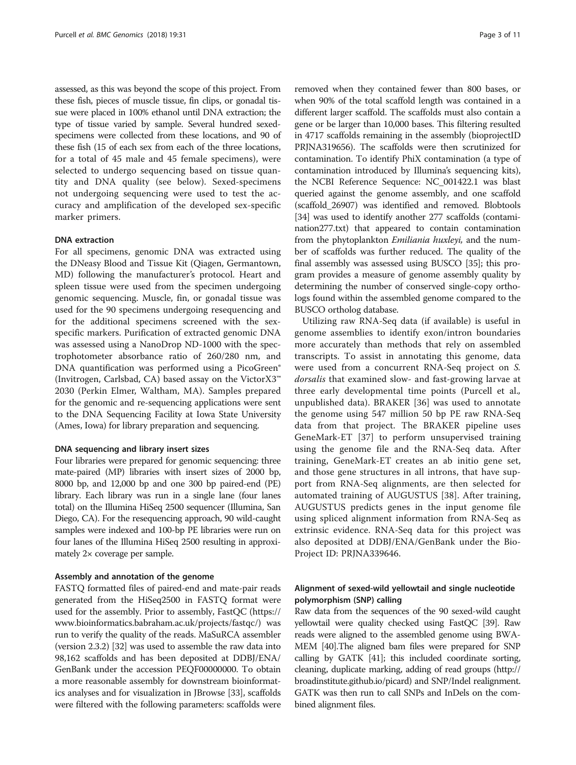assessed, as this was beyond the scope of this project. From these fish, pieces of muscle tissue, fin clips, or gonadal tissue were placed in 100% ethanol until DNA extraction; the type of tissue varied by sample. Several hundred sexedspecimens were collected from these locations, and 90 of these fish (15 of each sex from each of the three locations, for a total of 45 male and 45 female specimens), were selected to undergo sequencing based on tissue quantity and DNA quality (see below). Sexed-specimens not undergoing sequencing were used to test the accuracy and amplification of the developed sex-specific marker primers.

#### DNA extraction

For all specimens, genomic DNA was extracted using the DNeasy Blood and Tissue Kit (Qiagen, Germantown, MD) following the manufacturer's protocol. Heart and spleen tissue were used from the specimen undergoing genomic sequencing. Muscle, fin, or gonadal tissue was used for the 90 specimens undergoing resequencing and for the additional specimens screened with the sexspecific markers. Purification of extracted genomic DNA was assessed using a NanoDrop ND-1000 with the spectrophotometer absorbance ratio of 260/280 nm, and DNA quantification was performed using a PicoGreen® (Invitrogen, Carlsbad, CA) based assay on the VictorX3™ 2030 (Perkin Elmer, Waltham, MA). Samples prepared for the genomic and re-sequencing applications were sent to the DNA Sequencing Facility at Iowa State University (Ames, Iowa) for library preparation and sequencing.

#### DNA sequencing and library insert sizes

Four libraries were prepared for genomic sequencing: three mate-paired (MP) libraries with insert sizes of 2000 bp, 8000 bp, and 12,000 bp and one 300 bp paired-end (PE) library. Each library was run in a single lane (four lanes total) on the Illumina HiSeq 2500 sequencer (Illumina, San Diego, CA). For the resequencing approach, 90 wild-caught samples were indexed and 100-bp PE libraries were run on four lanes of the Illumina HiSeq 2500 resulting in approximately 2× coverage per sample.

#### Assembly and annotation of the genome

FASTQ formatted files of paired-end and mate-pair reads generated from the HiSeq2500 in FASTQ format were used for the assembly. Prior to assembly, FastQC [\(https://](https://www.bioinformatics.babraham.ac.uk/projects/fastqc/) [www.bioinformatics.babraham.ac.uk/projects/fastqc/\)](https://www.bioinformatics.babraham.ac.uk/projects/fastqc/) was run to verify the quality of the reads. MaSuRCA assembler (version 2.3.2) [[32](#page-9-0)] was used to assemble the raw data into 98,162 scaffolds and has been deposited at DDBJ/ENA/ GenBank under the accession PEQF00000000. To obtain a more reasonable assembly for downstream bioinformatics analyses and for visualization in JBrowse [[33](#page-9-0)], scaffolds were filtered with the following parameters: scaffolds were

removed when they contained fewer than 800 bases, or when 90% of the total scaffold length was contained in a different larger scaffold. The scaffolds must also contain a gene or be larger than 10,000 bases. This filtering resulted in 4717 scaffolds remaining in the assembly (bioprojectID PRJNA319656). The scaffolds were then scrutinized for contamination. To identify PhiX contamination (a type of contamination introduced by Illumina's sequencing kits), the NCBI Reference Sequence: NC\_001422.1 was blast queried against the genome assembly, and one scaffold (scaffold\_26907) was identified and removed. Blobtools [[34](#page-9-0)] was used to identify another 277 scaffolds (contamination277.txt) that appeared to contain contamination from the phytoplankton Emiliania huxleyi, and the number of scaffolds was further reduced. The quality of the final assembly was assessed using BUSCO [[35](#page-9-0)]; this program provides a measure of genome assembly quality by determining the number of conserved single-copy orthologs found within the assembled genome compared to the BUSCO ortholog database.

Utilizing raw RNA-Seq data (if available) is useful in genome assemblies to identify exon/intron boundaries more accurately than methods that rely on assembled transcripts. To assist in annotating this genome, data were used from a concurrent RNA-Seq project on S. dorsalis that examined slow- and fast-growing larvae at three early developmental time points (Purcell et al., unpublished data). BRAKER [\[36](#page-10-0)] was used to annotate the genome using 547 million 50 bp PE raw RNA-Seq data from that project. The BRAKER pipeline uses GeneMark-ET [\[37](#page-10-0)] to perform unsupervised training using the genome file and the RNA-Seq data. After training, GeneMark-ET creates an ab initio gene set, and those gene structures in all introns, that have support from RNA-Seq alignments, are then selected for automated training of AUGUSTUS [[38\]](#page-10-0). After training, AUGUSTUS predicts genes in the input genome file using spliced alignment information from RNA-Seq as extrinsic evidence. RNA-Seq data for this project was also deposited at DDBJ/ENA/GenBank under the Bio-Project ID: PRJNA339646.

# Alignment of sexed-wild yellowtail and single nucleotide polymorphism (SNP) calling

Raw data from the sequences of the 90 sexed-wild caught yellowtail were quality checked using FastQC [\[39](#page-10-0)]. Raw reads were aligned to the assembled genome using BWA-MEM [[40\]](#page-10-0).The aligned bam files were prepared for SNP calling by GATK [\[41\]](#page-10-0); this included coordinate sorting, cleaning, duplicate marking, adding of read groups ([http://](http://broadinstitute.github.io/picard) [broadinstitute.github.io/picard](http://broadinstitute.github.io/picard)) and SNP/Indel realignment. GATK was then run to call SNPs and InDels on the combined alignment files.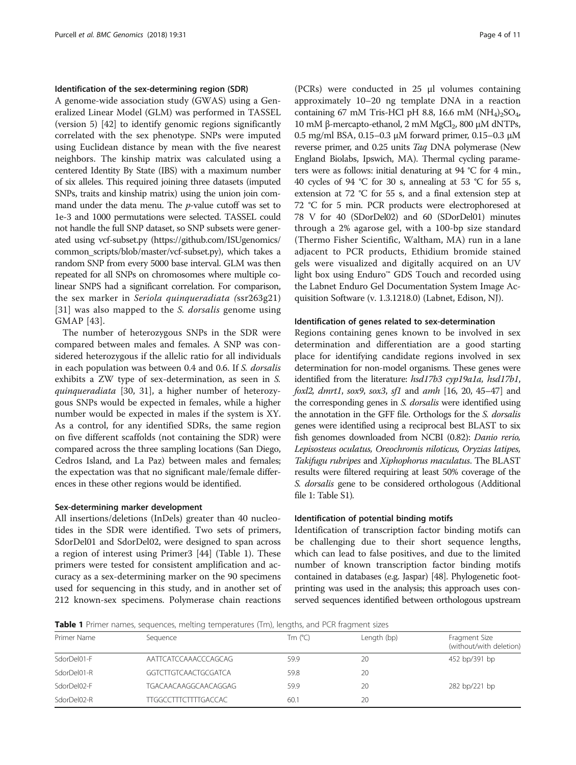#### Identification of the sex-determining region (SDR)

A genome-wide association study (GWAS) using a Generalized Linear Model (GLM) was performed in TASSEL (version 5) [[42\]](#page-10-0) to identify genomic regions significantly correlated with the sex phenotype. SNPs were imputed using Euclidean distance by mean with the five nearest neighbors. The kinship matrix was calculated using a centered Identity By State (IBS) with a maximum number of six alleles. This required joining three datasets (imputed SNPs, traits and kinship matrix) using the union join command under the data menu. The  $p$ -value cutoff was set to 1e-3 and 1000 permutations were selected. TASSEL could not handle the full SNP dataset, so SNP subsets were generated using vcf-subset.py [\(https://github.com/ISUgenomics/](https://github.com/ISUgenomics/common_scripts/blob/master/vcf-subset.py) [common\\_scripts/blob/master/vcf-subset.py\)](https://github.com/ISUgenomics/common_scripts/blob/master/vcf-subset.py), which takes a random SNP from every 5000 base interval. GLM was then repeated for all SNPs on chromosomes where multiple colinear SNPS had a significant correlation. For comparison, the sex marker in Seriola quinqueradiata (ssr263g21) [[31](#page-9-0)] was also mapped to the *S. dorsalis* genome using GMAP [[43](#page-10-0)].

The number of heterozygous SNPs in the SDR were compared between males and females. A SNP was considered heterozygous if the allelic ratio for all individuals in each population was between 0.4 and 0.6. If S. dorsalis exhibits a ZW type of sex-determination, as seen in S. quinqueradiata [[30, 31\]](#page-9-0), a higher number of heterozygous SNPs would be expected in females, while a higher number would be expected in males if the system is XY. As a control, for any identified SDRs, the same region on five different scaffolds (not containing the SDR) were compared across the three sampling locations (San Diego, Cedros Island, and La Paz) between males and females; the expectation was that no significant male/female differences in these other regions would be identified.

#### Sex-determining marker development

All insertions/deletions (InDels) greater than 40 nucleotides in the SDR were identified. Two sets of primers, SdorDel01 and SdorDel02, were designed to span across a region of interest using Primer3 [\[44](#page-10-0)] (Table 1). These primers were tested for consistent amplification and accuracy as a sex-determining marker on the 90 specimens used for sequencing in this study, and in another set of 212 known-sex specimens. Polymerase chain reactions

(PCRs) were conducted in 25 μl volumes containing approximately 10–20 ng template DNA in a reaction containing 67 mM Tris-HCl pH 8.8, 16.6 mM  $(NH_4)_2SO_4$ , 10 mM β-mercapto-ethanol, 2 mM MgCl<sub>2</sub>, 800 μM dNTPs, 0.5 mg/ml BSA, 0.15–0.3 μM forward primer, 0.15–0.3 μM reverse primer, and 0.25 units Taq DNA polymerase (New England Biolabs, Ipswich, MA). Thermal cycling parameters were as follows: initial denaturing at 94 °C for 4 min., 40 cycles of 94  $\degree$ C for 30 s, annealing at 53  $\degree$ C for 55 s, extension at 72 °C for 55 s, and a final extension step at 72 °C for 5 min. PCR products were electrophoresed at 78 V for 40 (SDorDel02) and 60 (SDorDel01) minutes through a 2% agarose gel, with a 100-bp size standard (Thermo Fisher Scientific, Waltham, MA) run in a lane adjacent to PCR products, Ethidium bromide stained gels were visualized and digitally acquired on an UV light box using Enduro™ GDS Touch and recorded using the Labnet Enduro Gel Documentation System Image Acquisition Software (v. 1.3.1218.0) (Labnet, Edison, NJ).

#### Identification of genes related to sex-determination

Regions containing genes known to be involved in sex determination and differentiation are a good starting place for identifying candidate regions involved in sex determination for non-model organisms. These genes were identified from the literature: hsd17b3 cyp19a1a, hsd17b1, foxl2, dmrt1, sox9, sox3, sf1 and amh  $[16, 20, 45-47]$  $[16, 20, 45-47]$  $[16, 20, 45-47]$  $[16, 20, 45-47]$  $[16, 20, 45-47]$  $[16, 20, 45-47]$  $[16, 20, 45-47]$  and the corresponding genes in S. dorsalis were identified using the annotation in the GFF file. Orthologs for the S. dorsalis genes were identified using a reciprocal best BLAST to six fish genomes downloaded from NCBI (0.82): Danio rerio, Lepisosteus oculatus, Oreochromis niloticus, Oryzias latipes, Takifugu rubripes and Xiphophorus maculatus. The BLAST results were filtered requiring at least 50% coverage of the S. dorsalis gene to be considered orthologous (Additional file [1:](#page-8-0) Table S1).

#### Identification of potential binding motifs

Identification of transcription factor binding motifs can be challenging due to their short sequence lengths, which can lead to false positives, and due to the limited number of known transcription factor binding motifs contained in databases (e.g. Jaspar) [\[48\]](#page-10-0). Phylogenetic footprinting was used in the analysis; this approach uses conserved sequences identified between orthologous upstream

**Table 1** Primer names, sequences, melting temperatures (Tm), lengths, and PCR fragment sizes

| Primer Name | Sequence                    | Tm $(°C)$ | Length (bp) | Fragment Size<br>(without/with deletion) |
|-------------|-----------------------------|-----------|-------------|------------------------------------------|
| SdorDel01-F | AATTCATCCAAACCCAGCAG        | 59.9      | 20          | 452 bp/391 bp                            |
| SdorDel01-R | GGTCTTGTCAACTGCGATCA        | 59.8      | 20          |                                          |
| SdorDel02-F | TGACAACAAGGCAACAGGAG        | 59.9      | 20          | 282 bp/221 bp                            |
| SdorDel02-R | <b>TTGGCCTTTCTTTTGACCAC</b> | 60.1      | 20          |                                          |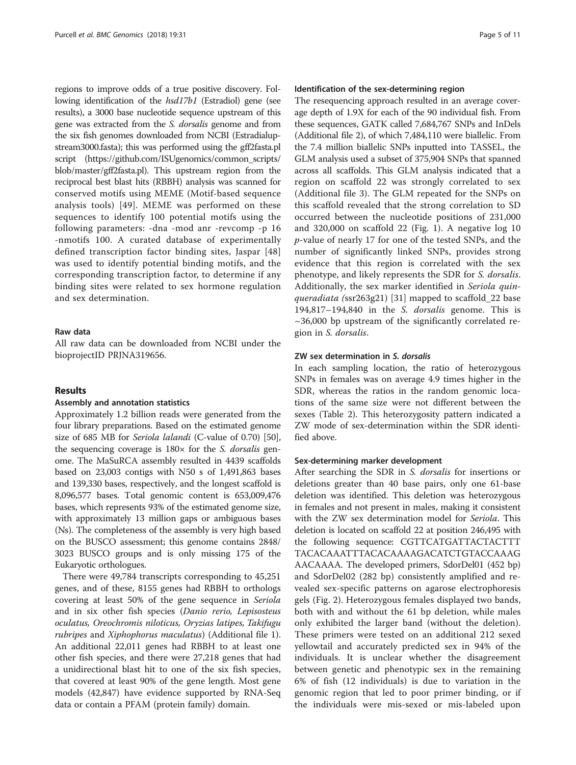regions to improve odds of a true positive discovery. Following identification of the hsd17b1 (Estradiol) gene (see results), a 3000 base nucleotide sequence upstream of this gene was extracted from the S. dorsalis genome and from the six fish genomes downloaded from NCBI (Estradialupstream3000.fasta); this was performed using the gff2fasta.pl script ([https://github.com/ISUgenomics/common\\_scripts/](https://github.com/ISUgenomics/common_scripts/blob/master/gff2fasta.pl) [blob/master/gff2fasta.pl\)](https://github.com/ISUgenomics/common_scripts/blob/master/gff2fasta.pl). This upstream region from the reciprocal best blast hits (RBBH) analysis was scanned for conserved motifs using MEME (Motif-based sequence analysis tools) [[49](#page-10-0)]. MEME was performed on these sequences to identify 100 potential motifs using the following parameters: -dna -mod anr -revcomp -p 16 -nmotifs 100. A curated database of experimentally defined transcription factor binding sites, Jaspar [[48](#page-10-0)] was used to identify potential binding motifs, and the corresponding transcription factor, to determine if any binding sites were related to sex hormone regulation and sex determination.

# Raw data

All raw data can be downloaded from NCBI under the bioprojectID PRJNA319656.

### Results

#### Assembly and annotation statistics

Approximately 1.2 billion reads were generated from the four library preparations. Based on the estimated genome size of 685 MB for Seriola lalandi (C-value of 0.70) [[50](#page-10-0)], the sequencing coverage is  $180\times$  for the *S. dorsalis* genome. The MaSuRCA assembly resulted in 4439 scaffolds based on 23,003 contigs with N50 s of 1,491,863 bases and 139,330 bases, respectively, and the longest scaffold is 8,096,577 bases. Total genomic content is 653,009,476 bases, which represents 93% of the estimated genome size, with approximately 13 million gaps or ambiguous bases (Ns). The completeness of the assembly is very high based on the BUSCO assessment; this genome contains 2848/ 3023 BUSCO groups and is only missing 175 of the Eukaryotic orthologues.

There were 49,784 transcripts corresponding to 45,251 genes, and of these, 8155 genes had RBBH to orthologs covering at least 50% of the gene sequence in Seriola and in six other fish species (Danio rerio, Lepisosteus oculatus, Oreochromis niloticus, Oryzias latipes, Takifugu rubripes and Xiphophorus maculatus) (Additional file [1](#page-8-0)). An additional 22,011 genes had RBBH to at least one other fish species, and there were 27,218 genes that had a unidirectional blast hit to one of the six fish species, that covered at least 90% of the gene length. Most gene models (42,847) have evidence supported by RNA-Seq data or contain a PFAM (protein family) domain.

#### Identification of the sex-determining region

The resequencing approach resulted in an average coverage depth of 1.9X for each of the 90 individual fish. From these sequences, GATK called 7,684,767 SNPs and InDels (Additional file [2\)](#page-8-0), of which 7,484,110 were biallelic. From the 7.4 million biallelic SNPs inputted into TASSEL, the GLM analysis used a subset of 375,904 SNPs that spanned across all scaffolds. This GLM analysis indicated that a region on scaffold 22 was strongly correlated to sex (Additional file [3\)](#page-8-0). The GLM repeated for the SNPs on this scaffold revealed that the strong correlation to SD occurred between the nucleotide positions of 231,000 and 320,000 on scaffold 22 (Fig. [1\)](#page-5-0). A negative log 10 p-value of nearly 17 for one of the tested SNPs, and the number of significantly linked SNPs, provides strong evidence that this region is correlated with the sex phenotype, and likely represents the SDR for S. dorsalis. Additionally, the sex marker identified in Seriola quin-queradiata (ssr263g21) [\[31](#page-9-0)] mapped to scaffold\_22 base 194,817–194,840 in the S. dorsalis genome. This is ~36,000 bp upstream of the significantly correlated region in S. dorsalis.

#### ZW sex determination in S. dorsalis

In each sampling location, the ratio of heterozygous SNPs in females was on average 4.9 times higher in the SDR, whereas the ratios in the random genomic locations of the same size were not different between the sexes (Table [2\)](#page-5-0). This heterozygosity pattern indicated a ZW mode of sex-determination within the SDR identified above.

#### Sex-determining marker development

After searching the SDR in S. dorsalis for insertions or deletions greater than 40 base pairs, only one 61-base deletion was identified. This deletion was heterozygous in females and not present in males, making it consistent with the ZW sex determination model for Seriola. This deletion is located on scaffold 22 at position 246,495 with the following sequence: CGTTCATGATTACTACTTT TACACAAATTTACACAAAAGACATCTGTACCAAAG AACAAAA. The developed primers, SdorDel01 (452 bp) and SdorDel02 (282 bp) consistently amplified and revealed sex-specific patterns on agarose electrophoresis gels (Fig. [2\)](#page-6-0). Heterozygous females displayed two bands, both with and without the 61 bp deletion, while males only exhibited the larger band (without the deletion). These primers were tested on an additional 212 sexed yellowtail and accurately predicted sex in 94% of the individuals. It is unclear whether the disagreement between genetic and phenotypic sex in the remaining 6% of fish (12 individuals) is due to variation in the genomic region that led to poor primer binding, or if the individuals were mis-sexed or mis-labeled upon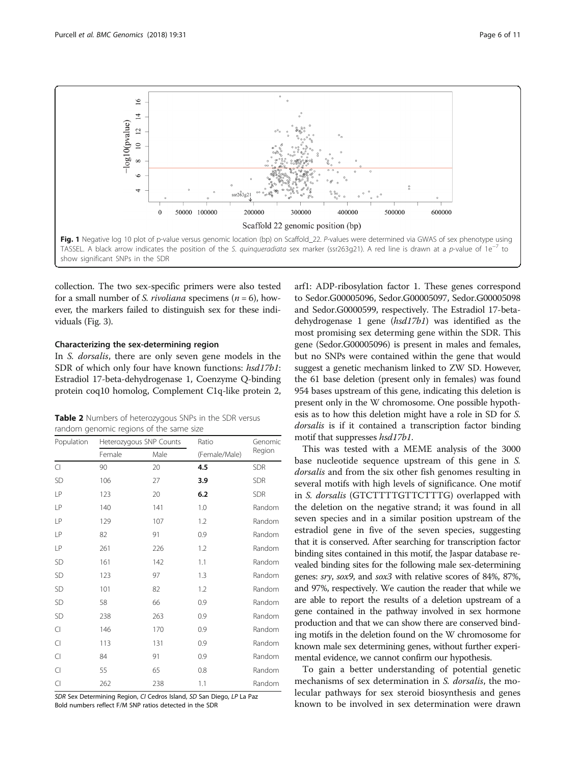<span id="page-5-0"></span>

collection. The two sex-specific primers were also tested for a small number of S. *rivoliana* specimens ( $n = 6$ ), however, the markers failed to distinguish sex for these individuals (Fig. [3\)](#page-6-0).

#### Characterizing the sex-determining region

In S. dorsalis, there are only seven gene models in the SDR of which only four have known functions:  $hsd17bl$ : Estradiol 17-beta-dehydrogenase 1, Coenzyme Q-binding protein coq10 homolog, Complement C1q-like protein 2,

Table 2 Numbers of heterozygous SNPs in the SDR versus random genomic regions of the same size

| Population | Heterozygous SNP Counts |      | Ratio         | Genomic    |
|------------|-------------------------|------|---------------|------------|
|            | Female                  | Male | (Female/Male) | Region     |
| $\subset$  | 90                      | 20   | 4.5           | <b>SDR</b> |
| SD         | 106                     | 27   | 3.9           | <b>SDR</b> |
| LР         | 123                     | 20   | 6.2           | <b>SDR</b> |
| LP         | 140                     | 141  | 1.0           | Random     |
| LP         | 129                     | 107  | 1.2           | Random     |
| LР         | 82                      | 91   | 0.9           | Random     |
| LР         | 261                     | 226  | 1.2           | Random     |
| <b>SD</b>  | 161                     | 142  | 1.1           | Random     |
| <b>SD</b>  | 123                     | 97   | 1.3           | Random     |
| <b>SD</b>  | 101                     | 82   | 1.2           | Random     |
| <b>SD</b>  | 58                      | 66   | 0.9           | Random     |
| SD         | 238                     | 263  | 0.9           | Random     |
| CI         | 146                     | 170  | 0.9           | Random     |
| CI         | 113                     | 131  | 0.9           | Random     |
| CI         | 84                      | 91   | 0.9           | Random     |
| CI         | 55                      | 65   | 0.8           | Random     |
| CI         | 262                     | 238  | 1.1           | Random     |

SDR Sex Determining Region, CI Cedros Island, SD San Diego, LP La Paz Bold numbers reflect F/M SNP ratios detected in the SDR

arf1: ADP-ribosylation factor 1. These genes correspond to Sedor.G00005096, Sedor.G00005097, Sedor.G00005098 and Sedor.G0000599, respectively. The Estradiol 17-betadehydrogenase 1 gene (hsd17b1) was identified as the most promising sex determing gene within the SDR. This gene (Sedor.G00005096) is present in males and females, but no SNPs were contained within the gene that would suggest a genetic mechanism linked to ZW SD. However, the 61 base deletion (present only in females) was found 954 bases upstream of this gene, indicating this deletion is present only in the W chromosome. One possible hypothesis as to how this deletion might have a role in SD for S. dorsalis is if it contained a transcription factor binding motif that suppresses hsd17b1.

This was tested with a MEME analysis of the 3000 base nucleotide sequence upstream of this gene in S. dorsalis and from the six other fish genomes resulting in several motifs with high levels of significance. One motif in S. dorsalis (GTCTTTTGTTCTTTG) overlapped with the deletion on the negative strand; it was found in all seven species and in a similar position upstream of the estradiol gene in five of the seven species, suggesting that it is conserved. After searching for transcription factor binding sites contained in this motif, the Jaspar database revealed binding sites for the following male sex-determining genes: sry, sox9, and sox3 with relative scores of 84%, 87%, and 97%, respectively. We caution the reader that while we are able to report the results of a deletion upstream of a gene contained in the pathway involved in sex hormone production and that we can show there are conserved binding motifs in the deletion found on the W chromosome for known male sex determining genes, without further experimental evidence, we cannot confirm our hypothesis.

To gain a better understanding of potential genetic mechanisms of sex determination in S. dorsalis, the molecular pathways for sex steroid biosynthesis and genes known to be involved in sex determination were drawn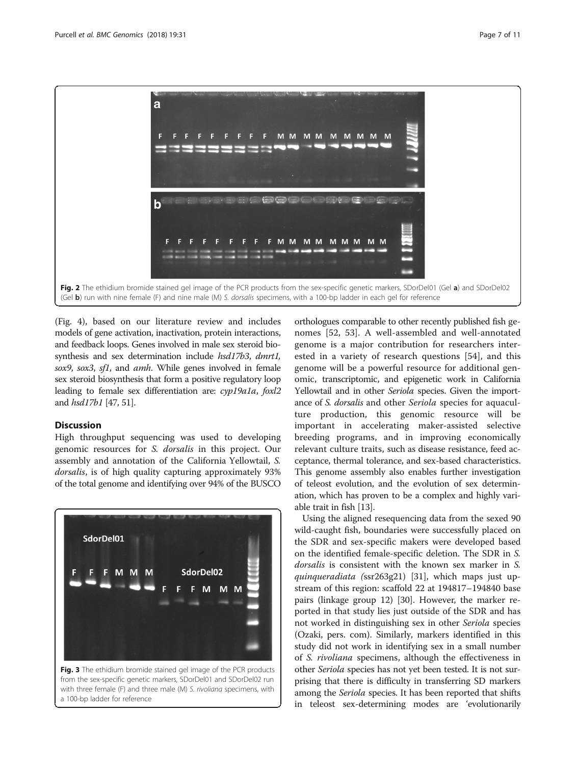<span id="page-6-0"></span>

(Fig. [4](#page-7-0)), based on our literature review and includes models of gene activation, inactivation, protein interactions, and feedback loops. Genes involved in male sex steroid biosynthesis and sex determination include hsd17b3, dmrt1, sox9, sox3, sf1, and *amh*. While genes involved in female sex steroid biosynthesis that form a positive regulatory loop leading to female sex differentiation are: cyp19a1a, foxl2 and hsd17b1 [\[47](#page-10-0), [51](#page-10-0)].

#### **Discussion**

High throughput sequencing was used to developing genomic resources for S. dorsalis in this project. Our assembly and annotation of the California Yellowtail, S. dorsalis, is of high quality capturing approximately 93% of the total genome and identifying over 94% of the BUSCO



orthologues comparable to other recently published fish genomes [[52, 53\]](#page-10-0). A well-assembled and well-annotated genome is a major contribution for researchers interested in a variety of research questions [[54\]](#page-10-0), and this genome will be a powerful resource for additional genomic, transcriptomic, and epigenetic work in California Yellowtail and in other Seriola species. Given the importance of S. dorsalis and other Seriola species for aquaculture production, this genomic resource will be important in accelerating maker-assisted selective breeding programs, and in improving economically relevant culture traits, such as disease resistance, feed acceptance, thermal tolerance, and sex-based characteristics. This genome assembly also enables further investigation of teleost evolution, and the evolution of sex determination, which has proven to be a complex and highly variable trait in fish [\[13\]](#page-9-0).

Using the aligned resequencing data from the sexed 90 wild-caught fish, boundaries were successfully placed on the SDR and sex-specific makers were developed based on the identified female-specific deletion. The SDR in S. dorsalis is consistent with the known sex marker in S. quinqueradiata (ssr263g21) [\[31\]](#page-9-0), which maps just upstream of this region: scaffold 22 at 194817–194840 base pairs (linkage group 12) [\[30\]](#page-9-0). However, the marker reported in that study lies just outside of the SDR and has not worked in distinguishing sex in other Seriola species (Ozaki, pers. com). Similarly, markers identified in this study did not work in identifying sex in a small number of S. rivoliana specimens, although the effectiveness in other Seriola species has not yet been tested. It is not surprising that there is difficulty in transferring SD markers among the Seriola species. It has been reported that shifts in teleost sex-determining modes are 'evolutionarily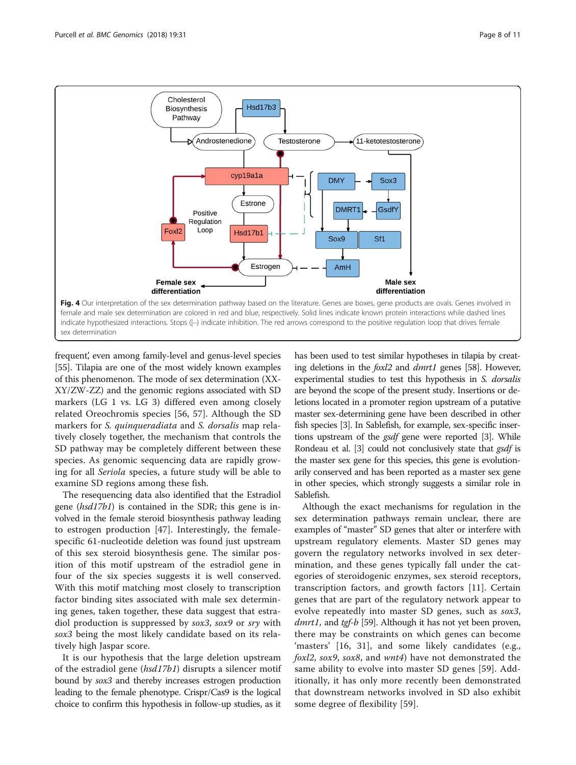<span id="page-7-0"></span>

frequent', even among family-level and genus-level species [[55](#page-10-0)]. Tilapia are one of the most widely known examples of this phenomenon. The mode of sex determination (XX-XY/ZW-ZZ) and the genomic regions associated with SD markers (LG 1 vs. LG 3) differed even among closely related Oreochromis species [[56, 57](#page-10-0)]. Although the SD markers for *S. quinqueradiata* and *S. dorsalis* map relatively closely together, the mechanism that controls the SD pathway may be completely different between these species. As genomic sequencing data are rapidly growing for all Seriola species, a future study will be able to examine SD regions among these fish.

The resequencing data also identified that the Estradiol gene (hsd17b1) is contained in the SDR; this gene is involved in the female steroid biosynthesis pathway leading to estrogen production [\[47](#page-10-0)]. Interestingly, the femalespecific 61-nucleotide deletion was found just upstream of this sex steroid biosynthesis gene. The similar position of this motif upstream of the estradiol gene in four of the six species suggests it is well conserved. With this motif matching most closely to transcription factor binding sites associated with male sex determining genes, taken together, these data suggest that estradiol production is suppressed by sox3, sox9 or sry with sox3 being the most likely candidate based on its relatively high Jaspar score.

It is our hypothesis that the large deletion upstream of the estradiol gene (hsd17b1) disrupts a silencer motif bound by sox3 and thereby increases estrogen production leading to the female phenotype. Crispr/Cas9 is the logical choice to confirm this hypothesis in follow-up studies, as it

has been used to test similar hypotheses in tilapia by creating deletions in the *foxl2* and *dmrt1* genes [[58](#page-10-0)]. However, experimental studies to test this hypothesis in S. dorsalis are beyond the scope of the present study. Insertions or deletions located in a promoter region upstream of a putative master sex-determining gene have been described in other fish species [[3](#page-9-0)]. In Sablefish, for example, sex-specific insertions upstream of the gsdf gene were reported [\[3\]](#page-9-0). While Rondeau et al. [\[3\]](#page-9-0) could not conclusively state that *gsdf* is the master sex gene for this species, this gene is evolutionarily conserved and has been reported as a master sex gene in other species, which strongly suggests a similar role in Sablefish.

Although the exact mechanisms for regulation in the sex determination pathways remain unclear, there are examples of "master" SD genes that alter or interfere with upstream regulatory elements. Master SD genes may govern the regulatory networks involved in sex determination, and these genes typically fall under the categories of steroidogenic enzymes, sex steroid receptors, transcription factors, and growth factors [[11\]](#page-9-0). Certain genes that are part of the regulatory network appear to evolve repeatedly into master SD genes, such as sox3, dmrt1, and tgf-b [\[59\]](#page-10-0). Although it has not yet been proven, there may be constraints on which genes can become 'masters' [[16, 31](#page-9-0)], and some likely candidates (e.g., foxl2, sox9, sox8, and wnt4) have not demonstrated the same ability to evolve into master SD genes [[59](#page-10-0)]. Additionally, it has only more recently been demonstrated that downstream networks involved in SD also exhibit some degree of flexibility [[59](#page-10-0)].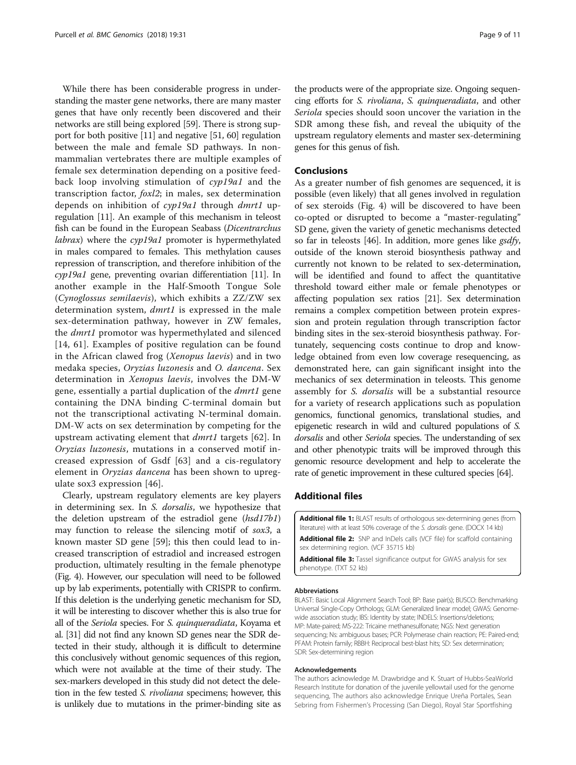<span id="page-8-0"></span>While there has been considerable progress in understanding the master gene networks, there are many master genes that have only recently been discovered and their networks are still being explored [\[59\]](#page-10-0). There is strong support for both positive [\[11\]](#page-9-0) and negative [\[51, 60](#page-10-0)] regulation between the male and female SD pathways. In nonmammalian vertebrates there are multiple examples of female sex determination depending on a positive feedback loop involving stimulation of cyp19a1 and the transcription factor, foxl2; in males, sex determination depends on inhibition of cyp19a1 through dmrt1 upregulation [[11](#page-9-0)]. An example of this mechanism in teleost fish can be found in the European Seabass (Dicentrarchus labrax) where the cyp19a1 promoter is hypermethylated in males compared to females. This methylation causes repression of transcription, and therefore inhibition of the cyp19a1 gene, preventing ovarian differentiation [[11\]](#page-9-0). In another example in the Half-Smooth Tongue Sole (Cynoglossus semilaevis), which exhibits a ZZ/ZW sex determination system, *dmrt1* is expressed in the male sex-determination pathway, however in ZW females, the *dmrt1* promotor was hypermethylated and silenced [[14](#page-9-0), [61](#page-10-0)]. Examples of positive regulation can be found in the African clawed frog (Xenopus laevis) and in two medaka species, Oryzias luzonesis and O. dancena. Sex determination in Xenopus laevis, involves the DM-W gene, essentially a partial duplication of the dmrt1 gene containing the DNA binding C-terminal domain but not the transcriptional activating N-terminal domain. DM-W acts on sex determination by competing for the upstream activating element that *dmrt1* targets [[62](#page-10-0)]. In Oryzias luzonesis, mutations in a conserved motif increased expression of Gsdf [\[63](#page-10-0)] and a cis-regulatory element in Oryzias dancena has been shown to upregulate sox3 expression [\[46](#page-10-0)].

Clearly, upstream regulatory elements are key players in determining sex. In S. dorsalis, we hypothesize that the deletion upstream of the estradiol gene (hsd17b1) may function to release the silencing motif of sox3, a known master SD gene [\[59\]](#page-10-0); this then could lead to increased transcription of estradiol and increased estrogen production, ultimately resulting in the female phenotype (Fig. [4\)](#page-7-0). However, our speculation will need to be followed up by lab experiments, potentially with CRISPR to confirm. If this deletion is the underlying genetic mechanism for SD, it will be interesting to discover whether this is also true for all of the Seriola species. For S. quinqueradiata, Koyama et al. [\[31\]](#page-9-0) did not find any known SD genes near the SDR detected in their study, although it is difficult to determine this conclusively without genomic sequences of this region, which were not available at the time of their study. The sex-markers developed in this study did not detect the deletion in the few tested S. rivoliana specimens; however, this is unlikely due to mutations in the primer-binding site as

the products were of the appropriate size. Ongoing sequencing efforts for S. rivoliana, S. quinqueradiata, and other Seriola species should soon uncover the variation in the SDR among these fish, and reveal the ubiquity of the upstream regulatory elements and master sex-determining genes for this genus of fish.

## Conclusions

As a greater number of fish genomes are sequenced, it is possible (even likely) that all genes involved in regulation of sex steroids (Fig. [4\)](#page-7-0) will be discovered to have been co-opted or disrupted to become a "master-regulating" SD gene, given the variety of genetic mechanisms detected so far in teleosts [\[46\]](#page-10-0). In addition, more genes like gsdfy, outside of the known steroid biosynthesis pathway and currently not known to be related to sex-determination, will be identified and found to affect the quantitative threshold toward either male or female phenotypes or affecting population sex ratios [\[21\]](#page-9-0). Sex determination remains a complex competition between protein expression and protein regulation through transcription factor binding sites in the sex-steroid biosynthesis pathway. Fortunately, sequencing costs continue to drop and knowledge obtained from even low coverage resequencing, as demonstrated here, can gain significant insight into the mechanics of sex determination in teleosts. This genome assembly for S. dorsalis will be a substantial resource for a variety of research applications such as population genomics, functional genomics, translational studies, and epigenetic research in wild and cultured populations of S. dorsalis and other Seriola species. The understanding of sex and other phenotypic traits will be improved through this genomic resource development and help to accelerate the rate of genetic improvement in these cultured species [[64\]](#page-10-0).

#### Additional files

[Additional file 1:](dx.doi.org/10.1186/s12864-017-4403-1) BLAST results of orthologous sex-determining genes (from literature) with at least 50% coverage of the S. dorsalis gene. (DOCX 14 kb) [Additional file 2:](dx.doi.org/10.1186/s12864-017-4403-1) SNP and InDels calls (VCF file) for scaffold containing sex determining region. (VCF 35715 kb)

[Additional file 3:](dx.doi.org/10.1186/s12864-017-4403-1) Tassel significance output for GWAS analysis for sex phenotype. (TXT 52 kb)

#### Abbreviations

BLAST: Basic Local Alignment Search Tool; BP: Base pair(s); BUSCO: Benchmarking Universal Single-Copy Orthologs; GLM: Generalized linear model; GWAS: Genomewide association study; IBS: Identity by state; INDELS: Insertions/deletions; MP: Mate-paired; MS-222: Tricaine methanesulfonate; NGS: Next generation sequencing; Ns: ambiguous bases; PCR: Polymerase chain reaction; PE: Paired-end; PFAM: Protein family; RBBH: Reciprocal best-blast hits; SD: Sex determination; SDR: Sex-determining region

#### Acknowledgements

The authors acknowledge M. Drawbridge and K. Stuart of Hubbs-SeaWorld Research Institute for donation of the juvenile yellowtail used for the genome sequencing, The authors also acknowledge Enrique Ureña Portales, Sean Sebring from Fishermen's Processing (San Diego), Royal Star Sportfishing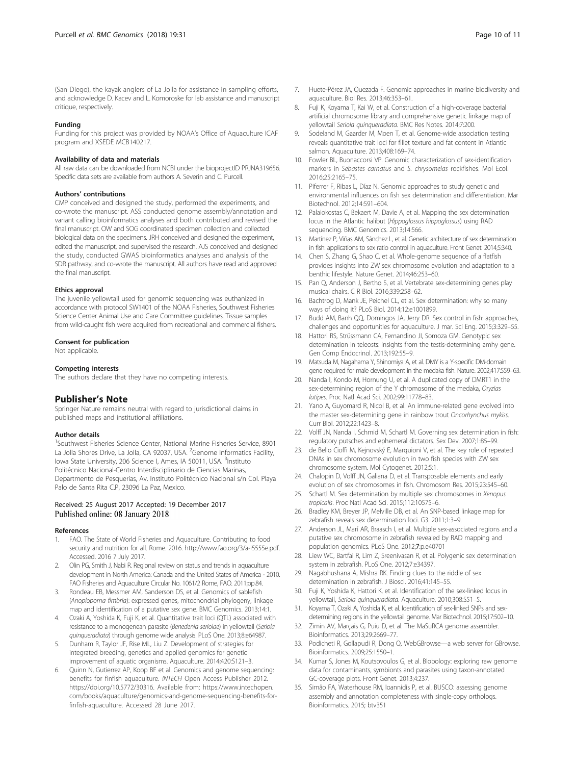<span id="page-9-0"></span>(San Diego), the kayak anglers of La Jolla for assistance in sampling efforts, and acknowledge D. Kacev and L. Komoroske for lab assistance and manuscript critique, respectively.

#### Funding

Funding for this project was provided by NOAA's Office of Aquaculture ICAF program and XSEDE MCB140217.

#### Availability of data and materials

All raw data can be downloaded from NCBI under the bioprojectID PRJNA319656. Specific data sets are available from authors A. Severin and C. Purcell.

#### Authors' contributions

CMP conceived and designed the study, performed the experiments, and co-wrote the manuscript. ASS conducted genome assembly/annotation and variant calling bioinformatics analyses and both contributed and revised the final manuscript. OW and SOG coordinated specimen collection and collected biological data on the specimens. JRH conceived and designed the experiment, edited the manuscript, and supervised the research. AJS conceived and designed the study, conducted GWAS bioinformatics analyses and analysis of the SDR pathway, and co-wrote the manuscript. All authors have read and approved the final manuscript.

#### Ethics approval

The juvenile yellowtail used for genomic sequencing was euthanized in accordance with protocol SW1401 of the NOAA Fisheries, Southwest Fisheries Science Center Animal Use and Care Committee guidelines. Tissue samples from wild-caught fish were acquired from recreational and commercial fishers.

#### Consent for publication

Not applicable.

#### Competing interests

The authors declare that they have no competing interests.

#### Publisher's Note

Springer Nature remains neutral with regard to jurisdictional claims in published maps and institutional affiliations.

#### Author details

<sup>1</sup>Southwest Fisheries Science Center, National Marine Fisheries Service, 8901 La Jolla Shores Drive, La Jolla, CA 92037, USA. <sup>2</sup>Genome Informatics Facility, lowa State University, 206 Science I, Ames, IA 50011, USA. <sup>3</sup>Instituto Politécnico Nacional-Centro Interdisciplinario de Ciencias Marinas, Departmento de Pesquerías, Av. Instituto Politécnico Nacional s/n Col. Playa Palo de Santa Rita C.P, 23096 La Paz, Mexico.

#### Received: 25 August 2017 Accepted: 19 December 2017 Published online: 08 January 2018

#### References

- 1. FAO. The State of World Fisheries and Aquaculture. Contributing to food security and nutrition for all. Rome. 2016.<http://www.fao.org/3/a-i5555e.pdf>. Accessed. 2016 7 July 2017.
- 2. Olin PG, Smith J, Nabi R. Regional review on status and trends in aquaculture development in North America: Canada and the United States of America - 2010. FAO Fisheries and Aquaculture Circular No. 1061/2 Rome, FAO. 2011;pp.84.
- Rondeau EB, Messmer AM, Sanderson DS, et al. Genomics of sablefish (Anoplopoma fimbria): expressed genes, mitochondrial phylogeny, linkage map and identification of a putative sex gene. BMC Genomics. 2013;14:1.
- Ozaki A, Yoshida K, Fuji K, et al. Quantitative trait loci (QTL) associated with resistance to a monogenean parasite (Benedenia seriolae) in yellowtail (Seriola quinqueradiata) through genome wide analysis. PLoS One. 2013;8:e64987.
- 5. Dunham R, Taylor JF, Rise ML, Liu Z. Development of strategies for integrated breeding, genetics and applied genomics for genetic improvement of aquatic organisms. Aquaculture. 2014;420:S121–3.
- Quinn N, Gutierrez AP, Koop BF et al. Genomics and genome sequencing: benefits for finfish aquaculture. INTECH Open Access Publisher 2012. [https://doi.org/10.5772/30316.](http://dx.doi.org/10.5772/30316) Available from: [https://www.intechopen.](https://www.intechopen.com/books/aquaculture/genomics-and-genome-sequencing-benefits-for-finfish-aquaculture) [com/books/aquaculture/genomics-and-genome-sequencing-benefits-for](https://www.intechopen.com/books/aquaculture/genomics-and-genome-sequencing-benefits-for-finfish-aquaculture)[finfish-aquaculture.](https://www.intechopen.com/books/aquaculture/genomics-and-genome-sequencing-benefits-for-finfish-aquaculture) Accessed 28 June 2017.
- 7. Huete-Pérez JA, Quezada F. Genomic approaches in marine biodiversity and aquaculture. Biol Res. 2013;46:353–61.
- 8. Fuji K, Koyama T, Kai W, et al. Construction of a high-coverage bacterial artificial chromosome library and comprehensive genetic linkage map of yellowtail Seriola quinqueradiata. BMC Res Notes. 2014;7:200.
- 9. Sodeland M, Gaarder M, Moen T, et al. Genome-wide association testing reveals quantitative trait loci for fillet texture and fat content in Atlantic salmon. Aquaculture. 2013;408:169–74.
- 10. Fowler BL, Buonaccorsi VP. Genomic characterization of sex-identification markers in Sebastes carnatus and S. chrysomelas rockfishes. Mol Ecol. 2016;25:2165–75.
- 11. Piferrer F, Ribas L, Díaz N. Genomic approaches to study genetic and environmental influences on fish sex determination and differentiation. Mar Biotechnol. 2012;14:591–604.
- 12. Palaiokostas C, Bekaert M, Davie A, et al. Mapping the sex determination locus in the Atlantic halibut (Hippoglossus hippoglossus) using RAD sequencing. BMC Genomics. 2013;14:566.
- 13. Martínez P, Viñas AM, Sánchez L, et al. Genetic architecture of sex determination in fish: applications to sex ratio control in aquaculture. Front Genet. 2014;5:340.
- 14. Chen S, Zhang G, Shao C, et al. Whole-genome sequence of a flatfish provides insights into ZW sex chromosome evolution and adaptation to a benthic lifestyle. Nature Genet. 2014;46:253–60.
- 15. Pan Q, Anderson J, Bertho S, et al. Vertebrate sex-determining genes play musical chairs. C R Biol. 2016;339:258–62.
- Bachtrog D, Mank JE, Peichel CL, et al. Sex determination: why so many ways of doing it? PLoS Biol. 2014;12:e1001899.
- 17. Budd AM, Banh QQ, Domingos JA, Jerry DR. Sex control in fish: approaches, challenges and opportunities for aquaculture. J mar. Sci Eng. 2015;3:329–55.
- 18. Hattori RS, Strüssmann CA, Fernandino JI, Somoza GM. Genotypic sex determination in teleosts: insights from the testis-determining amhy gene. Gen Comp Endocrinol. 2013;192:55–9.
- 19. Matsuda M, Nagahama Y, Shinomiya A, et al. DMY is a Y-specific DM-domain gene required for male development in the medaka fish. Nature. 2002;417:559–63.
- 20. Nanda I, Kondo M, Hornung U, et al. A duplicated copy of DMRT1 in the sex-determining region of the Y chromosome of the medaka, Oryzias latipes. Proc Natl Acad Sci. 2002;99:11778–83.
- 21. Yano A, Guyomard R, Nicol B, et al. An immune-related gene evolved into the master sex-determining gene in rainbow trout Oncorhynchus mykiss. Curr Biol. 2012;22:1423–8.
- 22. Volff JN, Nanda I, Schmid M, Schartl M. Governing sex determination in fish: regulatory putsches and ephemeral dictators. Sex Dev. 2007;1:85–99.
- 23. de Bello Cioffi M, Kejnovský E, Marquioni V, et al. The key role of repeated DNAs in sex chromosome evolution in two fish species with ZW sex chromosome system. Mol Cytogenet. 2012;5:1.
- 24. Chalopin D, Volff JN, Galiana D, et al. Transposable elements and early evolution of sex chromosomes in fish. Chromosom Res. 2015;23:545–60.
- 25. Schartl M. Sex determination by multiple sex chromosomes in Xenopus tropicalis. Proc Natl Acad Sci. 2015;112:10575–6.
- 26. Bradley KM, Breyer JP, Melville DB, et al. An SNP-based linkage map for zebrafish reveals sex determination loci. G3. 2011;1:3–9.
- 27. Anderson JL, Marí AR, Braasch I, et al. Multiple sex-associated regions and a putative sex chromosome in zebrafish revealed by RAD mapping and population genomics. PLoS One. 2012;7:p.e40701
- 28. Liew WC, Bartfai R, Lim Z, Sreenivasan R, et al. Polygenic sex determination system in zebrafish. PLoS One. 2012;7:e34397.
- 29. Nagabhushana A, Mishra RK. Finding clues to the riddle of sex determination in zebrafish. J Biosci. 2016;41:145–55.
- 30. Fuji K, Yoshida K, Hattori K, et al. Identification of the sex-linked locus in yellowtail, Seriola quinqueradiata. Aquaculture. 2010;308:S51–5.
- 31. Koyama T, Ozaki A, Yoshida K, et al. Identification of sex-linked SNPs and sexdetermining regions in the yellowtail genome. Mar Biotechnol. 2015;17:502–10.
- 32. Zimin AV, Marçais G, Puiu D, et al. The MaSuRCA genome assembler. Bioinformatics. 2013;29:2669–77.
- 33. Podicheti R, Gollapudi R, Dong Q. WebGBrowse—a web server for GBrowse. Bioinformatics. 2009;25:1550–1.
- 34. Kumar S, Jones M, Koutsovoulos G, et al. Blobology: exploring raw genome data for contaminants, symbionts and parasites using taxon-annotated GC-coverage plots. Front Genet. 2013;4:237.
- 35. Simão FA, Waterhouse RM, Ioannidis P, et al. BUSCO: assessing genome assembly and annotation completeness with single-copy orthologs. Bioinformatics. 2015; btv351